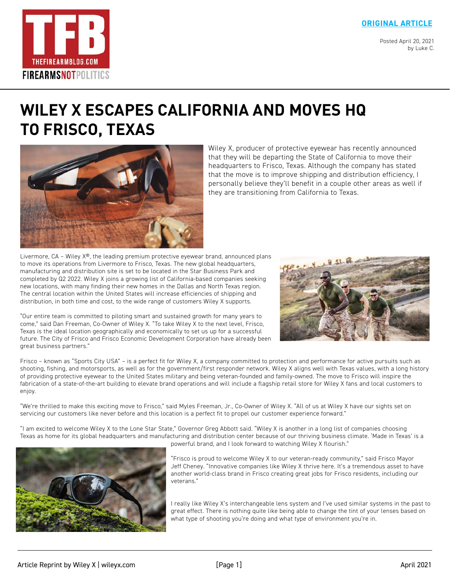#### **[ORIGINAL ARTICLE](https://www.thefirearmblog.com/blog/2021/04/20/wiley-x-frisco-texas/)**

Posted April 20, 2021 by Luke C.



# **[WILEY X ESCAPES CALIFORNIA AND MOVES HQ](https://www.thefirearmblog.com/blog/2021/04/20/wiley-x-frisco-texas/)  TO FRISCO, TEXAS**



Wiley X, producer of protective eyewear has recently announced that they will be departing the State of California to move their headquarters to Frisco, Texas. Although the company has stated that the move is to improve shipping and distribution efficiency, I personally believe they'll benefit in a couple other areas as well if they are transitioning from California to Texas.

Livermore,  $CA$  – Wiley  $X^{\circledast}$ , the leading premium protective eyewear brand, announced plans to move its operations from Livermore to Frisco, Texas. The new global headquarters, manufacturing and distribution site is set to be located in the Star Business Park and completed by Q2 2022. Wiley X joins a growing list of California-based companies seeking new locations, with many finding their new homes in the Dallas and North Texas region. The central location within the United States will increase efficiencies of shipping and distribution, in both time and cost, to the wide range of customers Wiley X supports.

"Our entire team is committed to piloting smart and sustained growth for many years to come," said Dan Freeman, Co-Owner of Wiley X. "To take Wiley X to the next level, Frisco, Texas is the ideal location geographically and economically to set us up for a successful future. The City of Frisco and Frisco Economic Development Corporation have already been great business partners."



Frisco – known as "Sports City USA" – is a perfect fit for Wiley X, a company committed to protection and performance for active pursuits such as shooting, fishing, and motorsports, as well as for the government/first responder network. Wiley X aligns well with Texas values, with a long history of providing protective eyewear to the United States military and being veteran-founded and family-owned. The move to Frisco will inspire the fabrication of a state-of-the-art building to elevate brand operations and will include a flagship retail store for Wiley X fans and local customers to enjoy.

"We're thrilled to make this exciting move to Frisco," said Myles Freeman, Jr., Co-Owner of Wiley X. "All of us at Wiley X have our sights set on servicing our customers like never before and this location is a perfect fit to propel our customer experience forward."

"I am excited to welcome Wiley X to the Lone Star State," Governor Greg Abbott said. "Wiley X is another in a long list of companies choosing Texas as home for its global headquarters and manufacturing and distribution center because of our thriving business climate. 'Made in Texas' is a powerful brand, and I look forward to watching Wiley X flourish."



"Frisco is proud to welcome Wiley X to our veteran-ready community," said Frisco Mayor Jeff Cheney. "Innovative companies like Wiley X thrive here. It's a tremendous asset to have another world-class brand in Frisco creating great jobs for Frisco residents, including our veterans."

I really like Wiley X's interchangeable lens system and I've used similar systems in the past to great effect. There is nothing quite like being able to change the tint of your lenses based on what type of shooting you're doing and what type of environment you're in.